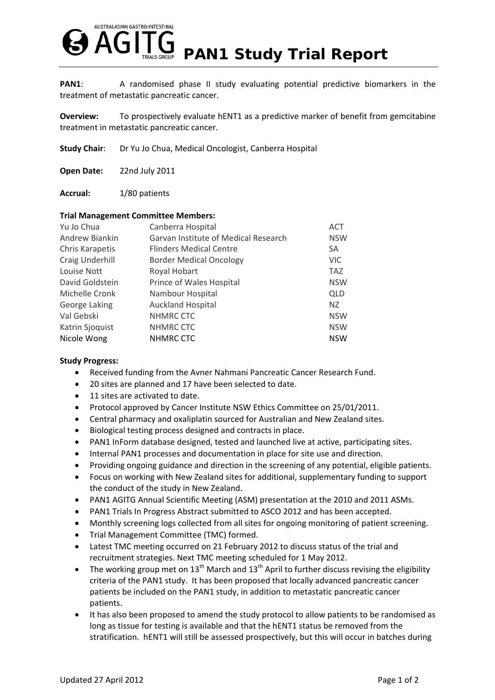

**PAN1:** A randomised phase II study evaluating potential predictive biomarkers in the treatment of metastatic pancreatic cancer.

**Overview:** To prospectively evaluate hENT1 as a predictive marker of benefit from gemcitabine treatment in metastatic pancreatic cancer.

**Study Chair**: Dr Yu Jo Chua, Medical Oncologist, Canberra Hospital

**Open Date:** 22nd July 2011

Accrual: 1/80 patients

## **Trial Management Committee Members:**

| Yu Jo Chua      | Canberra Hospital                    | <b>ACT</b> |
|-----------------|--------------------------------------|------------|
| Andrew Biankin  | Garvan Institute of Medical Research | <b>NSW</b> |
| Chris Karapetis | <b>Flinders Medical Centre</b>       | SA         |
| Craig Underhill | <b>Border Medical Oncology</b>       | <b>VIC</b> |
| Louise Nott     | Royal Hobart                         | <b>TAZ</b> |
| David Goldstein | Prince of Wales Hospital             | <b>NSW</b> |
| Michelle Cronk  | Nambour Hospital                     | <b>QLD</b> |
| George Laking   | <b>Auckland Hospital</b>             | NZ         |
| Val Gebski      | NHMRC CTC                            | <b>NSW</b> |
| Katrin Sjoquist | NHMRC CTC                            | <b>NSW</b> |
| Nicole Wong     | NHMRC CTC                            | <b>NSW</b> |

## **Study Progress:**

- Received funding from the Avner Nahmani Pancreatic Cancer Research Fund.
- 20 sites are planned and 17 have been selected to date.
- 11 sites are activated to date.
- Protocol approved by Cancer Institute NSW Ethics Committee on 25/01/2011.
- Central pharmacy and oxaliplatin sourced for Australian and New Zealand sites.
- Biological testing process designed and contracts in place.
- PAN1 InForm database designed, tested and launched live at active, participating sites.
- Internal PAN1 processes and documentation in place for site use and direction.
- Providing ongoing guidance and direction in the screening of any potential, eligible patients.
- Focus on working with New Zealand sites for additional, supplementary funding to support the conduct of the study in New Zealand.
- PAN1 AGITG Annual Scientific Meeting (ASM) presentation at the 2010 and 2011 ASMs.
- PAN1 Trials In Progress Abstract submitted to ASCO 2012 and has been accepted.
- Monthly screening logs collected from all sites for ongoing monitoring of patient screening.
- Trial Management Committee (TMC) formed.
- Latest TMC meeting occurred on 21 February 2012 to discuss status of the trial and recruitment strategies. Next TMC meeting scheduled for 1 May 2012.
- The working group met on  $13<sup>th</sup>$  March and  $13<sup>th</sup>$  April to further discuss revising the eligibility criteria of the PAN1 study. It has been proposed that locally advanced pancreatic cancer patients be included on the PAN1 study, in addition to metastatic pancreatic cancer patients.
- It has also been proposed to amend the study protocol to allow patients to be randomised as long as tissue for testing is available and that the hENT1 status be removed from the stratification. hENT1 will still be assessed prospectively, but this will occur in batches during